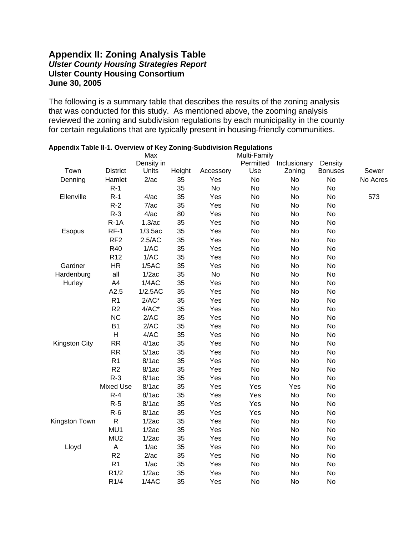## **Appendix II: Zoning Analysis Table**  *Ulster County Housing Strategies Report*  **Ulster County Housing Consortium June 30, 2005**

The following is a summary table that describes the results of the zoning analysis that was conducted for this study. As mentioned above, the zooming analysis reviewed the zoning and subdivision regulations by each municipality in the county for certain regulations that are typically present in housing-friendly communities.

|                      |                 | Max        |        |           | Multi-Family |              |                |          |
|----------------------|-----------------|------------|--------|-----------|--------------|--------------|----------------|----------|
|                      |                 | Density in |        |           | Permitted    | Inclusionary | Density        |          |
| Town                 | <b>District</b> | Units      | Height | Accessory | Use          | Zoning       | <b>Bonuses</b> | Sewer    |
| Denning              | Hamlet          | 2/ac       | 35     | Yes       | No           | No           | No             | No Acres |
|                      | $R-1$           |            | 35     | No        | No           | No           | No             |          |
| Ellenville           | $R-1$           | 4/ac       | 35     | Yes       | No           | No           | No             | 573      |
|                      | $R-2$           | 7/ac       | 35     | Yes       | No           | No           | No             |          |
|                      | $R-3$           | 4/ac       | 80     | Yes       | No           | No           | No             |          |
|                      | $R-1A$          | 1.3/ac     | 35     | Yes       | No           | No           | No             |          |
| Esopus               | $RF-1$          | 1/3.5ac    | 35     | Yes       | No           | No           | No             |          |
|                      | RF <sub>2</sub> | 2.5/AC     | 35     | Yes       | No           | No           | No             |          |
|                      | R40             | 1/AC       | 35     | Yes       | No           | No           | No             |          |
|                      | R <sub>12</sub> | 1/AC       | 35     | Yes       | No           | No           | No             |          |
| Gardner              | <b>HR</b>       | 1/5AC      | 35     | Yes       | No           | No           | No             |          |
| Hardenburg           | all             | 1/2ac      | 35     | No        | No           | No           | No             |          |
| Hurley               | A4              | 1/4AC      | 35     | Yes       | No           | No           | No             |          |
|                      | A2.5            | 1/2.5AC    | 35     | Yes       | No           | No           | No             |          |
|                      | R <sub>1</sub>  | $2/AC*$    | 35     | Yes       | No           | No           | No             |          |
|                      | R2              | $4/AC*$    | 35     | Yes       | No           | No           | No             |          |
|                      | <b>NC</b>       | 2/AC       | 35     | Yes       | No           | No           | No             |          |
|                      | <b>B1</b>       | 2/AC       | 35     | Yes       | No           | No           | No             |          |
|                      | H               | 4/AC       | 35     | Yes       | No           | No           | No             |          |
| <b>Kingston City</b> | RR              | 4/1ac      | 35     | Yes       | No           | No           | No             |          |
|                      | RR              | 5/1ac      | 35     | Yes       | No           | No           | No             |          |
|                      | R <sub>1</sub>  | 8/1ac      | 35     | Yes       | No           | No           | No             |          |
|                      | R2              | 8/1ac      | 35     | Yes       | No           | No           | No             |          |
|                      | $R-3$           | 8/1ac      | 35     | Yes       | No           | No           | No             |          |
|                      | Mixed Use       | 8/1ac      | 35     | Yes       | Yes          | Yes          | No             |          |
|                      | $R-4$           | 8/1ac      | 35     | Yes       | Yes          | No           | No             |          |
|                      | $R-5$           | 8/1ac      | 35     | Yes       | Yes          | No           | No             |          |
|                      | $R-6$           | 8/1ac      | 35     | Yes       | Yes          | No           | No             |          |
| Kingston Town        | ${\sf R}$       | 1/2ac      | 35     | Yes       | No           | No           | No             |          |
|                      | MU1             | 1/2ac      | 35     | Yes       | No           | No           | No             |          |
|                      | MU <sub>2</sub> | 1/2ac      | 35     | Yes       | No           | No           | No             |          |
| Lloyd                | $\mathsf A$     | 1/ac       | 35     | Yes       | No           | No           | No             |          |
|                      | R2              | 2/ac       | 35     | Yes       | No           | No           | No             |          |
|                      | R <sub>1</sub>  | 1/ac       | 35     | Yes       | No           | No           | No             |          |
|                      | R1/2            | 1/2ac      | 35     | Yes       | No           | No           | No             |          |
|                      | R1/4            | 1/4AC      | 35     | Yes       | No           | No           | No             |          |

## **Appendix Table II-1. Overview of Key Zoning-Subdivision Regulations**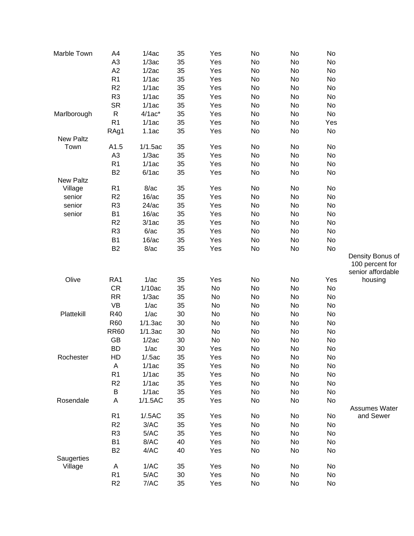| Marble Town      | A4             | 1/4ac    | 35 | Yes | No | No | No  |                                                          |
|------------------|----------------|----------|----|-----|----|----|-----|----------------------------------------------------------|
|                  | A <sub>3</sub> | 1/3ac    | 35 | Yes | No | No | No  |                                                          |
|                  | A2             | 1/2ac    | 35 | Yes | No | No | No  |                                                          |
|                  | R1             | 1/1ac    | 35 | Yes | No | No | No  |                                                          |
|                  | R2             | 1/1ac    | 35 | Yes | No | No | No  |                                                          |
|                  | R <sub>3</sub> | 1/1ac    | 35 | Yes | No | No | No  |                                                          |
|                  | <b>SR</b>      | 1/1ac    | 35 | Yes | No | No | No  |                                                          |
| Marlborough      | R              | $4/1ac*$ | 35 | Yes | No | No | No  |                                                          |
|                  | R <sub>1</sub> | 1/1ac    | 35 | Yes | No | No | Yes |                                                          |
|                  | RAg1           | 1.1ac    | 35 | Yes | No | No | No  |                                                          |
| <b>New Paltz</b> |                |          |    |     |    |    |     |                                                          |
| Town             | A1.5           | 1/1.5ac  | 35 | Yes | No | No | No  |                                                          |
|                  | A <sub>3</sub> | 1/3ac    | 35 | Yes | No | No | No  |                                                          |
|                  | R <sub>1</sub> | 1/1ac    | 35 | Yes | No | No | No  |                                                          |
|                  | <b>B2</b>      | 6/1ac    | 35 | Yes | No | No | No  |                                                          |
| <b>New Paltz</b> |                |          |    |     |    |    |     |                                                          |
| Village          | R1             | 8/ac     | 35 | Yes | No | No | No  |                                                          |
| senior           | R <sub>2</sub> | 16/ac    | 35 | Yes | No | No | No  |                                                          |
| senior           | R <sub>3</sub> | 24/ac    | 35 | Yes | No | No | No  |                                                          |
| senior           | B <sub>1</sub> | 16/ac    | 35 | Yes | No | No | No  |                                                          |
|                  | R <sub>2</sub> | 3/1ac    | 35 | Yes | No | No | No  |                                                          |
|                  | R <sub>3</sub> | 6/ac     | 35 | Yes | No | No | No  |                                                          |
|                  | <b>B1</b>      | 16/ac    | 35 | Yes | No | No | No  |                                                          |
|                  | <b>B2</b>      | 8/ac     | 35 | Yes | No | No | No  |                                                          |
|                  |                |          |    |     |    |    |     | Density Bonus of<br>100 percent for<br>senior affordable |
| Olive            | RA1            | 1/ac     | 35 | Yes | No | No | Yes | housing                                                  |
|                  | <b>CR</b>      | 1/10ac   | 35 | No  | No | No | No  |                                                          |
|                  | <b>RR</b>      | 1/3ac    | 35 | No  | No | No | No  |                                                          |
|                  | <b>VB</b>      | 1/ac     | 35 | No  | No | No | No  |                                                          |
| Plattekill       | R40            | 1/ac     | 30 | No  | No | No | No  |                                                          |
|                  | R60            | 1/1.3ac  | 30 | No  | No | No | No  |                                                          |
|                  | <b>RR60</b>    | 1/1.3ac  | 30 | No  | No | No | No  |                                                          |
|                  | <b>GB</b>      | 1/2ac    | 30 | No  | No | No | No  |                                                          |
|                  | <b>BD</b>      | 1/ac     | 30 | Yes | No | No | No  |                                                          |
| Rochester        | HD             | 1/.5ac   | 35 | Yes | No | No | No  |                                                          |
|                  | Α              | 1/1ac    | 35 | Yes | No | No | No  |                                                          |
|                  | R <sub>1</sub> | 1/1ac    | 35 | Yes | No | No | No  |                                                          |
|                  | R2             | 1/1ac    | 35 | Yes | No | No | No  |                                                          |
|                  | B              | 1/1ac    | 35 | Yes | No | No | No  |                                                          |
| Rosendale        | A              | 1/1.5AC  | 35 | Yes | No | No | No  |                                                          |
|                  |                |          |    |     |    |    |     | Assumes Water                                            |
|                  | R1             | 1/.5AC   | 35 | Yes | No | No | No  | and Sewer                                                |
|                  | R2             | 3/AC     | 35 | Yes | No | No | No  |                                                          |
|                  | R <sub>3</sub> | 5/AC     | 35 | Yes | No | No | No  |                                                          |
|                  | <b>B1</b>      | 8/AC     | 40 | Yes | No | No | No  |                                                          |
|                  | <b>B2</b>      | 4/AC     | 40 | Yes | No | No | No  |                                                          |
| Saugerties       |                |          |    |     |    |    |     |                                                          |
| Village          | Α              | 1/AC     | 35 | Yes | No | No | No  |                                                          |
|                  | R <sub>1</sub> | 5/AC     | 30 | Yes | No | No | No  |                                                          |
|                  | R2             | 7/AC     | 35 | Yes | No | No | No  |                                                          |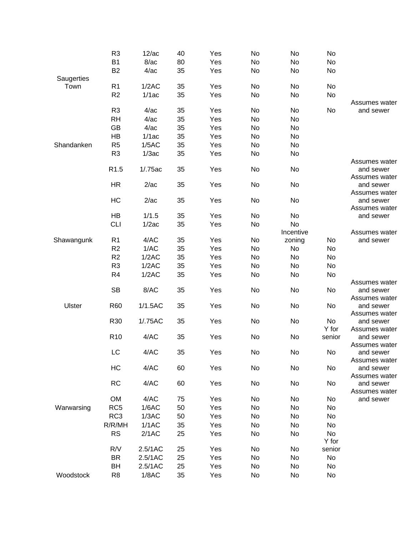|            | R <sub>3</sub>   | 12/ac    | 40 | Yes | No | No        | No          |                            |
|------------|------------------|----------|----|-----|----|-----------|-------------|----------------------------|
|            | <b>B1</b>        | 8/ac     | 80 | Yes | No | No        | No          |                            |
|            | <b>B2</b>        | 4/ac     | 35 | Yes | No | No        | No          |                            |
| Saugerties |                  |          |    |     |    |           |             |                            |
| Town       | R <sub>1</sub>   | 1/2AC    | 35 | Yes | No | No        | No          |                            |
|            | R <sub>2</sub>   | 1/1ac    | 35 | Yes | No | No        | No          |                            |
|            |                  |          |    |     |    |           |             | Assumes water              |
|            | R <sub>3</sub>   | 4/ac     | 35 | Yes | No | No        | No          | and sewer                  |
|            | <b>RH</b>        | 4/ac     | 35 | Yes | No | No        |             |                            |
|            | <b>GB</b>        | 4/ac     | 35 | Yes | No | No        |             |                            |
|            | HB               | 1/1ac    | 35 | Yes | No | No        |             |                            |
| Shandanken | R <sub>5</sub>   | 1/5AC    | 35 | Yes | No | No        |             |                            |
|            | R <sub>3</sub>   | 1/3ac    | 35 | Yes | No | No        |             |                            |
|            |                  |          |    |     |    |           |             | Assumes water              |
|            | R <sub>1.5</sub> | 1/0.75ac | 35 | Yes | No | No        |             | and sewer                  |
|            | <b>HR</b>        | 2/ac     | 35 | Yes | No | No        |             | Assumes water<br>and sewer |
|            |                  |          |    |     |    |           |             | Assumes water              |
|            | HC               | 2/ac     | 35 | Yes | No | No        |             | and sewer                  |
|            |                  |          |    |     |    |           |             | Assumes water              |
|            | HB               | 1/1.5    | 35 | Yes | No | No        |             | and sewer                  |
|            | <b>CLI</b>       | 1/2ac    | 35 | Yes | No | No        |             |                            |
|            |                  |          |    |     |    | Incentive |             | Assumes water              |
| Shawangunk | R <sub>1</sub>   | 4/AC     | 35 | Yes | No | zoning    | No          | and sewer                  |
|            | R <sub>2</sub>   | 1/AC     | 35 | Yes | No | No        | No          |                            |
|            | R <sub>2</sub>   | 1/2AC    | 35 | Yes | No | No        | No          |                            |
|            | R <sub>3</sub>   | 1/2AC    | 35 | Yes | No | No        | No          |                            |
|            | R <sub>4</sub>   | 1/2AC    | 35 | Yes | No | No        | No          |                            |
|            |                  |          |    |     |    |           |             | Assumes water              |
|            | <b>SB</b>        | 8/AC     | 35 | Yes | No | No        | No          | and sewer                  |
|            |                  |          |    |     |    |           |             | Assumes water              |
| Ulster     | <b>R60</b>       | 1/1.5AC  | 35 | Yes | No | No        | No          | and sewer                  |
|            | R30              | 1/.75AC  |    |     |    |           |             | Assumes water              |
|            |                  |          | 35 | Yes | No | No        | No<br>Y for | and sewer<br>Assumes water |
|            | R <sub>10</sub>  | 4/AC     | 35 | Yes | No | No        | senior      | and sewer                  |
|            |                  |          |    |     |    |           |             | Assumes water              |
|            | LC               | 4/AC     | 35 | Yes | No | No        | No          | and sewer                  |
|            |                  |          |    |     |    |           |             | Assumes water              |
|            | HC               | 4/AC     | 60 | Yes | No | No        | No          | and sewer                  |
|            |                  |          |    |     |    |           |             | Assumes water              |
|            | RC               | 4/AC     | 60 | Yes | No | No        | No          | and sewer                  |
|            |                  |          |    |     |    |           |             | Assumes water              |
|            | OM               | 4/AC     | 75 | Yes | No | No        | No          | and sewer                  |
| Warwarsing | RC <sub>5</sub>  | 1/6AC    | 50 | Yes | No | No        | No          |                            |
|            | RC <sub>3</sub>  | 1/3AC    | 50 | Yes | No | No        | No          |                            |
|            | R/R/MH           | 1/1AC    | 35 | Yes | No | <b>No</b> | No          |                            |
|            | <b>RS</b>        | 2/1AC    | 25 | Yes | No | No        | No          |                            |
|            |                  |          |    |     |    |           | Y for       |                            |
|            | R/V              | 2.5/1AC  | 25 | Yes | No | No        | senior      |                            |
|            | <b>BR</b>        | 2.5/1AC  | 25 | Yes | No | No        | No          |                            |
|            | BH               | 2.5/1AC  | 25 | Yes | No | No        | No          |                            |
| Woodstock  | R <sub>8</sub>   | 1/8AC    | 35 | Yes | No | No        | No          |                            |